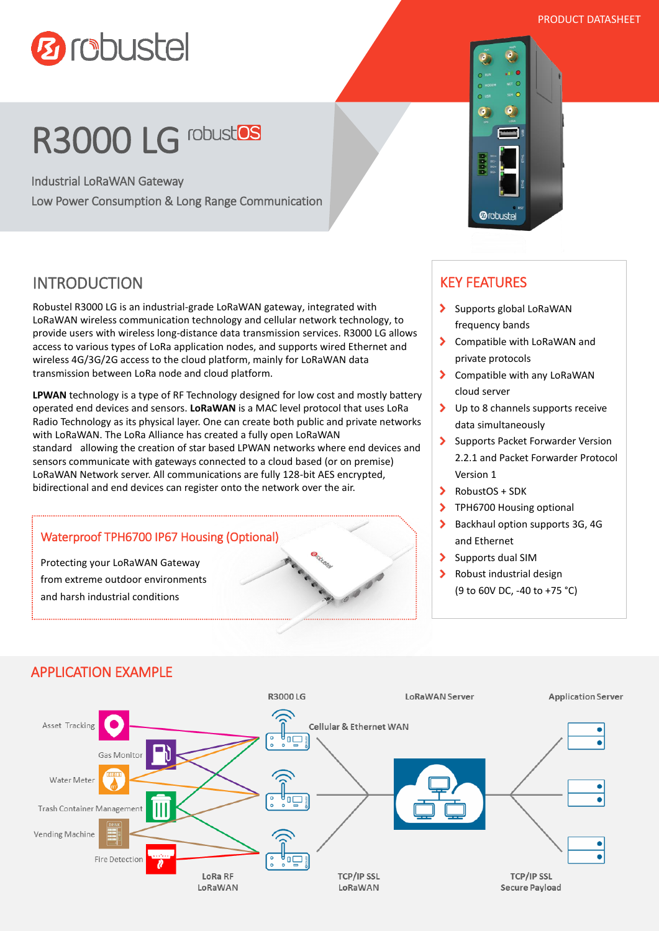PRODUCT DATASHEET



# R3000 LG robustos

Industrial LoRaWAN Gateway Low Power Consumption & Long Range Communication

## INTRODUCTION

Robustel R3000 LG is an industrial-grade LoRaWAN gateway, integrated with LoRaWAN wireless communication technology and cellular network technology, to provide users with wireless long-distance data transmission services. R3000 LG allows access to various types of LoRa application nodes, and supports wired Ethernet and wireless 4G/3G/2G access to the cloud platform, mainly for LoRaWAN data transmission between LoRa node and cloud platform.

**LPWAN** technology is a type of RF Technology designed for low cost and mostly battery operated end devices and sensors. **LoRaWAN** is a MAC level protocol that uses LoRa Radio Technology as its physical layer. One can create both public and private networks with LoRaWAN. The LoRa Alliance has created a fully open LoRaWAN standard allowing the creation of star based LPWAN networks where end devices and sensors communicate with gateways connected to a cloud based (or on premise) LoRaWAN Network server. All communications are fully 128-bit AES encrypted, bidirectional and end devices can register onto the network over the air.



# KEY FEATURES

**@robustel** 

- > Supports global LoRaWAN frequency bands
- > Compatible with LoRaWAN and private protocols
- > Compatible with any LoRaWAN cloud server
- > Up to 8 channels supports receive data simultaneously
- Supports Packet Forwarder Version 2.2.1 and Packet Forwarder Protocol Version 1
- $\blacktriangleright$  RobustOS + SDK
- > TPH6700 Housing optional
- Backhaul option supports 3G, 4G and Ethernet
- $\blacktriangleright$ Supports dual SIM
- $\blacktriangleright$ Robust industrial design (9 to 60V DC, -40 to +75 °C)

## APPLICATION EXAMPLE